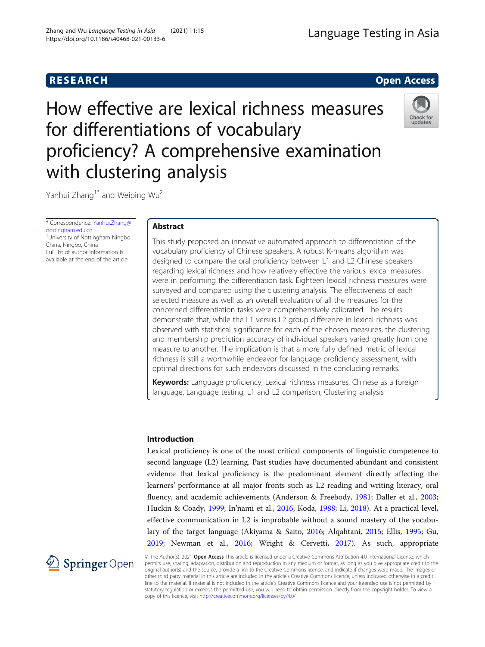# How effective are lexical richness measures for differentiations of vocabulary proficiency? A comprehensive examination with clustering analysis



Yanhui Zhang<sup>1\*</sup> and Weiping Wu<sup>2</sup>

\* Correspondence: [Yanhui.Zhang@](mailto:Yanhui.Zhang@nottingham.edu.cn) [nottingham.edu.cn](mailto:Yanhui.Zhang@nottingham.edu.cn) <sup>1</sup>University of Nottingham Ningbo China, Ningbo, China Full list of author information is available at the end of the article

# Abstract

This study proposed an innovative automated approach to differentiation of the vocabulary proficiency of Chinese speakers. A robust K-means algorithm was designed to compare the oral proficiency between L1 and L2 Chinese speakers regarding lexical richness and how relatively effective the various lexical measures were in performing the differentiation task. Eighteen lexical richness measures were surveyed and compared using the clustering analysis. The effectiveness of each selected measure as well as an overall evaluation of all the measures for the concerned differentiation tasks were comprehensively calibrated. The results demonstrate that, while the L1 versus L2 group difference in lexical richness was observed with statistical significance for each of the chosen measures, the clustering and membership prediction accuracy of individual speakers varied greatly from one measure to another. The implication is that a more fully defined metric of lexical richness is still a worthwhile endeavor for language proficiency assessment, with optimal directions for such endeavors discussed in the concluding remarks.

Keywords: Language proficiency, Lexical richness measures, Chinese as a foreign language, Language testing, L1 and L2 comparison, Clustering analysis

# Introduction

Lexical proficiency is one of the most critical components of linguistic competence to second language (L2) learning. Past studies have documented abundant and consistent evidence that lexical proficiency is the predominant element directly affecting the learners' performance at all major fronts such as L2 reading and writing literacy, oral fluency, and academic achievements (Anderson & Freebody, [1981;](#page-16-0) Daller et al., [2003](#page-16-0); Huckin & Coady, [1999](#page-17-0); In'nami et al., [2016](#page-17-0); Koda, [1988;](#page-17-0) Li, [2018](#page-17-0)). At a practical level, effective communication in L2 is improbable without a sound mastery of the vocabulary of the target language (Akiyama & Saito, [2016;](#page-16-0) Alqahtani, [2015;](#page-16-0) Ellis, [1995;](#page-16-0) Gu, [2019](#page-17-0); Newman et al., [2016](#page-17-0); Wright & Cervetti, [2017\)](#page-18-0). As such, appropriate



© The Author(s). 2021 Open Access This article is licensed under a Creative Commons Attribution 4.0 International License, which permits use, sharing, adaptation, distribution and reproduction in any medium or format, as long as you give appropriate credit to the original author(s) and the source, provide a link to the Creative Commons licence, and indicate if changes were made. The images or other third party material in this article are included in the article's Creative Commons licence, unless indicated otherwise in a credit line to the material. If material is not included in the article's Creative Commons licence and your intended use is not permitted by statutory regulation or exceeds the permitted use, you will need to obtain permission directly from the copyright holder. To view a copy of this licence, visit <http://creativecommons.org/licenses/by/4.0/>.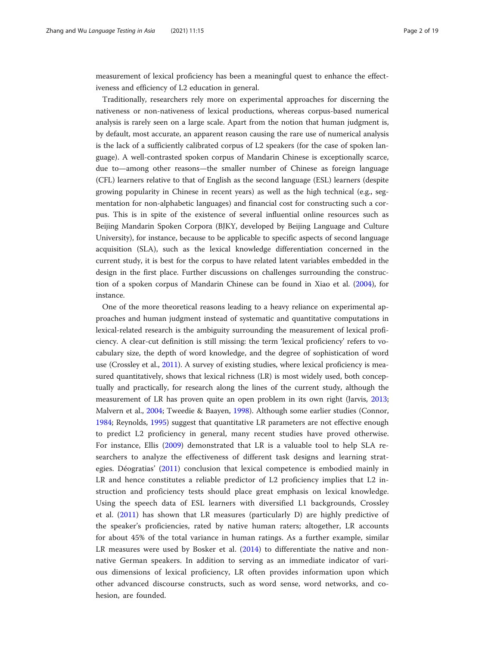measurement of lexical proficiency has been a meaningful quest to enhance the effectiveness and efficiency of L2 education in general.

Traditionally, researchers rely more on experimental approaches for discerning the nativeness or non-nativeness of lexical productions, whereas corpus-based numerical analysis is rarely seen on a large scale. Apart from the notion that human judgment is, by default, most accurate, an apparent reason causing the rare use of numerical analysis is the lack of a sufficiently calibrated corpus of L2 speakers (for the case of spoken language). A well-contrasted spoken corpus of Mandarin Chinese is exceptionally scarce, due to—among other reasons—the smaller number of Chinese as foreign language (CFL) learners relative to that of English as the second language (ESL) learners (despite growing popularity in Chinese in recent years) as well as the high technical (e.g., segmentation for non-alphabetic languages) and financial cost for constructing such a corpus. This is in spite of the existence of several influential online resources such as Beijing Mandarin Spoken Corpora (BJKY, developed by Beijing Language and Culture University), for instance, because to be applicable to specific aspects of second language acquisition (SLA), such as the lexical knowledge differentiation concerned in the current study, it is best for the corpus to have related latent variables embedded in the design in the first place. Further discussions on challenges surrounding the construction of a spoken corpus of Mandarin Chinese can be found in Xiao et al. [\(2004\)](#page-18-0), for instance.

One of the more theoretical reasons leading to a heavy reliance on experimental approaches and human judgment instead of systematic and quantitative computations in lexical-related research is the ambiguity surrounding the measurement of lexical proficiency. A clear-cut definition is still missing: the term 'lexical proficiency' refers to vocabulary size, the depth of word knowledge, and the degree of sophistication of word use (Crossley et al., [2011\)](#page-16-0). A survey of existing studies, where lexical proficiency is measured quantitatively, shows that lexical richness (LR) is most widely used, both conceptually and practically, for research along the lines of the current study, although the measurement of LR has proven quite an open problem in its own right (Jarvis, [2013](#page-17-0); Malvern et al., [2004;](#page-17-0) Tweedie & Baayen, [1998](#page-17-0)). Although some earlier studies (Connor, [1984](#page-16-0); Reynolds, [1995\)](#page-17-0) suggest that quantitative LR parameters are not effective enough to predict L2 proficiency in general, many recent studies have proved otherwise. For instance, Ellis [\(2009](#page-16-0)) demonstrated that LR is a valuable tool to help SLA researchers to analyze the effectiveness of different task designs and learning strategies. Déogratias' [\(2011](#page-16-0)) conclusion that lexical competence is embodied mainly in LR and hence constitutes a reliable predictor of L2 proficiency implies that L2 instruction and proficiency tests should place great emphasis on lexical knowledge. Using the speech data of ESL learners with diversified L1 backgrounds, Crossley et al. [\(2011](#page-16-0)) has shown that LR measures (particularly D) are highly predictive of the speaker's proficiencies, rated by native human raters; altogether, LR accounts for about 45% of the total variance in human ratings. As a further example, similar LR measures were used by Bosker et al. ([2014\)](#page-16-0) to differentiate the native and nonnative German speakers. In addition to serving as an immediate indicator of various dimensions of lexical proficiency, LR often provides information upon which other advanced discourse constructs, such as word sense, word networks, and cohesion, are founded.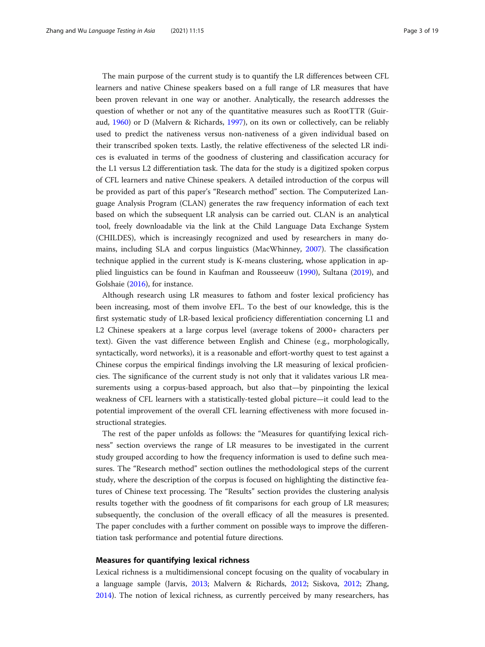<span id="page-2-0"></span>The main purpose of the current study is to quantify the LR differences between CFL learners and native Chinese speakers based on a full range of LR measures that have been proven relevant in one way or another. Analytically, the research addresses the question of whether or not any of the quantitative measures such as RootTTR (Guiraud, [1960\)](#page-17-0) or D (Malvern & Richards, [1997\)](#page-17-0), on its own or collectively, can be reliably used to predict the nativeness versus non-nativeness of a given individual based on their transcribed spoken texts. Lastly, the relative effectiveness of the selected LR indices is evaluated in terms of the goodness of clustering and classification accuracy for the L1 versus L2 differentiation task. The data for the study is a digitized spoken corpus of CFL learners and native Chinese speakers. A detailed introduction of the corpus will be provided as part of this paper's "Research method" section. The Computerized Language Analysis Program (CLAN) generates the raw frequency information of each text based on which the subsequent LR analysis can be carried out. CLAN is an analytical tool, freely downloadable via the link at the Child Language Data Exchange System (CHILDES), which is increasingly recognized and used by researchers in many domains, including SLA and corpus linguistics (MacWhinney, [2007](#page-17-0)). The classification technique applied in the current study is K-means clustering, whose application in applied linguistics can be found in Kaufman and Rousseeuw [\(1990\)](#page-17-0), Sultana ([2019\)](#page-17-0), and Golshaie [\(2016\)](#page-17-0), for instance.

Although research using LR measures to fathom and foster lexical proficiency has been increasing, most of them involve EFL. To the best of our knowledge, this is the first systematic study of LR-based lexical proficiency differentiation concerning L1 and L2 Chinese speakers at a large corpus level (average tokens of 2000+ characters per text). Given the vast difference between English and Chinese (e.g., morphologically, syntactically, word networks), it is a reasonable and effort-worthy quest to test against a Chinese corpus the empirical findings involving the LR measuring of lexical proficiencies. The significance of the current study is not only that it validates various LR measurements using a corpus-based approach, but also that—by pinpointing the lexical weakness of CFL learners with a statistically-tested global picture—it could lead to the potential improvement of the overall CFL learning effectiveness with more focused instructional strategies.

The rest of the paper unfolds as follows: the "Measures for quantifying lexical richness" section overviews the range of LR measures to be investigated in the current study grouped according to how the frequency information is used to define such measures. The "Research method" section outlines the methodological steps of the current study, where the description of the corpus is focused on highlighting the distinctive features of Chinese text processing. The "Results" section provides the clustering analysis results together with the goodness of fit comparisons for each group of LR measures; subsequently, the conclusion of the overall efficacy of all the measures is presented. The paper concludes with a further comment on possible ways to improve the differentiation task performance and potential future directions.

# Measures for quantifying lexical richness

Lexical richness is a multidimensional concept focusing on the quality of vocabulary in a language sample (Jarvis, [2013;](#page-17-0) Malvern & Richards, [2012](#page-17-0); Siskova, [2012;](#page-17-0) Zhang, [2014](#page-18-0)). The notion of lexical richness, as currently perceived by many researchers, has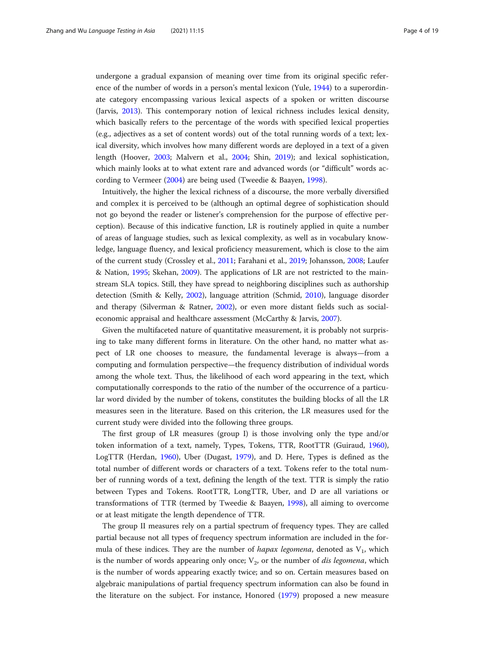undergone a gradual expansion of meaning over time from its original specific reference of the number of words in a person's mental lexicon (Yule, [1944\)](#page-18-0) to a superordinate category encompassing various lexical aspects of a spoken or written discourse (Jarvis, [2013](#page-17-0)). This contemporary notion of lexical richness includes lexical density, which basically refers to the percentage of the words with specified lexical properties (e.g., adjectives as a set of content words) out of the total running words of a text; lexical diversity, which involves how many different words are deployed in a text of a given length (Hoover, [2003;](#page-17-0) Malvern et al., [2004;](#page-17-0) Shin, [2019](#page-17-0)); and lexical sophistication, which mainly looks at to what extent rare and advanced words (or "difficult" words according to Vermeer [\(2004](#page-18-0)) are being used (Tweedie & Baayen, [1998\)](#page-17-0).

Intuitively, the higher the lexical richness of a discourse, the more verbally diversified and complex it is perceived to be (although an optimal degree of sophistication should not go beyond the reader or listener's comprehension for the purpose of effective perception). Because of this indicative function, LR is routinely applied in quite a number of areas of language studies, such as lexical complexity, as well as in vocabulary knowledge, language fluency, and lexical proficiency measurement, which is close to the aim of the current study (Crossley et al., [2011](#page-16-0); Farahani et al., [2019](#page-17-0); Johansson, [2008](#page-17-0); Laufer & Nation, [1995;](#page-17-0) Skehan, [2009](#page-17-0)). The applications of LR are not restricted to the mainstream SLA topics. Still, they have spread to neighboring disciplines such as authorship detection (Smith & Kelly, [2002](#page-17-0)), language attrition (Schmid, [2010\)](#page-17-0), language disorder and therapy (Silverman & Ratner, [2002](#page-17-0)), or even more distant fields such as socialeconomic appraisal and healthcare assessment (McCarthy & Jarvis, [2007](#page-17-0)).

Given the multifaceted nature of quantitative measurement, it is probably not surprising to take many different forms in literature. On the other hand, no matter what aspect of LR one chooses to measure, the fundamental leverage is always—from a computing and formulation perspective—the frequency distribution of individual words among the whole text. Thus, the likelihood of each word appearing in the text, which computationally corresponds to the ratio of the number of the occurrence of a particular word divided by the number of tokens, constitutes the building blocks of all the LR measures seen in the literature. Based on this criterion, the LR measures used for the current study were divided into the following three groups.

The first group of LR measures (group I) is those involving only the type and/or token information of a text, namely, Types, Tokens, TTR, RootTTR (Guiraud, [1960](#page-17-0)), LogTTR (Herdan, [1960\)](#page-17-0), Uber (Dugast, [1979\)](#page-16-0), and D. Here, Types is defined as the total number of different words or characters of a text. Tokens refer to the total number of running words of a text, defining the length of the text. TTR is simply the ratio between Types and Tokens. RootTTR, LongTTR, Uber, and D are all variations or transformations of TTR (termed by Tweedie & Baayen, [1998](#page-17-0)), all aiming to overcome or at least mitigate the length dependence of TTR.

The group II measures rely on a partial spectrum of frequency types. They are called partial because not all types of frequency spectrum information are included in the formula of these indices. They are the number of *hapax legomena*, denoted as  $V_1$ , which is the number of words appearing only once;  $V_2$ , or the number of *dis legomena*, which is the number of words appearing exactly twice; and so on. Certain measures based on algebraic manipulations of partial frequency spectrum information can also be found in the literature on the subject. For instance, Honored [\(1979\)](#page-17-0) proposed a new measure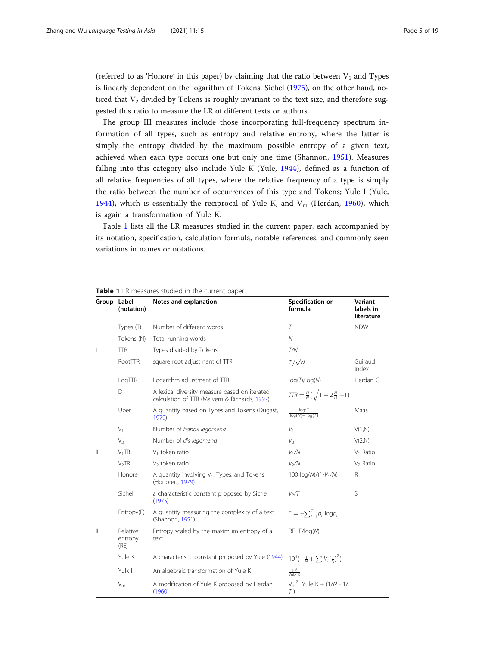(referred to as 'Honore' in this paper) by claiming that the ratio between  $V_1$  and Types is linearly dependent on the logarithm of Tokens. Sichel [\(1975](#page-17-0)), on the other hand, noticed that  $V_2$  divided by Tokens is roughly invariant to the text size, and therefore suggested this ratio to measure the LR of different texts or authors.

The group III measures include those incorporating full-frequency spectrum information of all types, such as entropy and relative entropy, where the latter is simply the entropy divided by the maximum possible entropy of a given text, achieved when each type occurs one but only one time (Shannon, [1951](#page-17-0)). Measures falling into this category also include Yule K (Yule, [1944](#page-18-0)), defined as a function of all relative frequencies of all types, where the relative frequency of a type is simply the ratio between the number of occurrences of this type and Tokens; Yule I (Yule, [1944\)](#page-18-0), which is essentially the reciprocal of Yule K, and  $V_m$  (Herdan, [1960](#page-17-0)), which is again a transformation of Yule K.

Table 1 lists all the LR measures studied in the current paper, each accompanied by its notation, specification, calculation formula, notable references, and commonly seen variations in names or notations.

|              | Group Label<br>(notation)   | Notes and explanation                                                                          | Specification or<br>formula                                         | Variant<br>labels in<br>literature |
|--------------|-----------------------------|------------------------------------------------------------------------------------------------|---------------------------------------------------------------------|------------------------------------|
|              | Types (T)                   | Number of different words                                                                      | $\tau$                                                              | <b>NDW</b>                         |
|              | Tokens (N)                  | Total running words                                                                            | $\mathcal N$                                                        |                                    |
| I            | <b>TTR</b>                  | Types divided by Tokens                                                                        | T/N                                                                 |                                    |
|              | RootTTR                     | square root adjustment of TTR                                                                  | $T/\sqrt{N}$                                                        | Guiraud<br>Index                   |
|              | LogTTR                      | Logarithm adjustment of TTR                                                                    | log(T)/log(N)                                                       | Herdan C                           |
|              | D                           | A lexical diversity measure based on iterated<br>calculation of TTR (Malvern & Richards, 1997) | $TTR = \frac{D}{N}(\sqrt{1+2\frac{N}{D}}-1)$                        |                                    |
|              | Uber                        | A quantity based on Types and Tokens (Dugast,<br>1979)                                         | $\frac{\log^2 T}{\log(N) - \log(T)}$                                | Maas                               |
|              | $V_1$                       | Number of hapax legomena                                                                       | $V_1$                                                               | V(1,N)                             |
|              | $V_2$                       | Number of dis legomena                                                                         | V <sub>2</sub>                                                      | V(2,N)                             |
| $\mathbb{I}$ | $V_1TR$                     | $V_1$ token ratio                                                                              | V <sub>1</sub> /N                                                   | $V_1$ Ratio                        |
|              | V <sub>2</sub> TR           | $V2$ token ratio                                                                               | $V_2/N$                                                             | $V_2$ Ratio                        |
|              | Honore                      | A quantity involving $V_1$ , Types, and Tokens<br>(Honored, 1979)                              | 100 log(N)/(1-V <sub>1</sub> /N)                                    | $\mathsf{R}$                       |
|              | Sichel                      | a characteristic constant proposed by Sichel<br>(1975)                                         | V <sub>2</sub> /T                                                   | S                                  |
|              | Entropy(E)                  | A quantity measuring the complexity of a text<br>(Shannon, 1951)                               | $E = -\sum_{i=1}^{T} p_i \log p_i$                                  |                                    |
| $\mathbb{H}$ | Relative<br>entropy<br>(RE) | Entropy scaled by the maximum entropy of a<br>text                                             | $RE=E/log(N)$                                                       |                                    |
|              | Yule K                      | A characteristic constant proposed by Yule (1944)                                              | $10^4\left(-\frac{1}{N}+\sum_iV_i\left(\frac{i}{N}\right)^2\right)$ |                                    |
|              | Yulk I                      | An algebraic transformation of Yule K                                                          | $\frac{10^4}{\text{Yule K}}$                                        |                                    |
|              | $V_{m}$                     | A modification of Yule K proposed by Herdan<br>(1960)                                          | $V_m^2$ =Yule K + (1/N - 1/<br>T)                                   |                                    |

# Table 1 LR measures studied in the current paper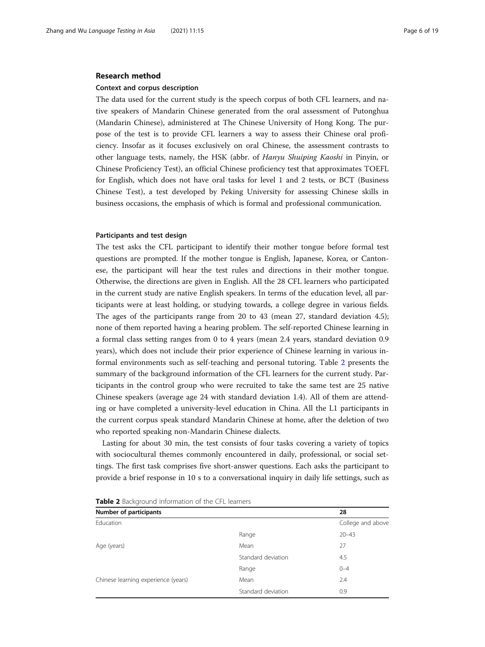#### <span id="page-5-0"></span>Research method

#### Context and corpus description

The data used for the current study is the speech corpus of both CFL learners, and native speakers of Mandarin Chinese generated from the oral assessment of Putonghua (Mandarin Chinese), administered at The Chinese University of Hong Kong. The purpose of the test is to provide CFL learners a way to assess their Chinese oral proficiency. Insofar as it focuses exclusively on oral Chinese, the assessment contrasts to other language tests, namely, the HSK (abbr. of Hanyu Shuiping Kaoshi in Pinyin, or Chinese Proficiency Test), an official Chinese proficiency test that approximates TOEFL for English, which does not have oral tasks for level 1 and 2 tests, or BCT (Business Chinese Test), a test developed by Peking University for assessing Chinese skills in business occasions, the emphasis of which is formal and professional communication.

# Participants and test design

The test asks the CFL participant to identify their mother tongue before formal test questions are prompted. If the mother tongue is English, Japanese, Korea, or Cantonese, the participant will hear the test rules and directions in their mother tongue. Otherwise, the directions are given in English. All the 28 CFL learners who participated in the current study are native English speakers. In terms of the education level, all participants were at least holding, or studying towards, a college degree in various fields. The ages of the participants range from 20 to 43 (mean 27, standard deviation 4.5); none of them reported having a hearing problem. The self-reported Chinese learning in a formal class setting ranges from 0 to 4 years (mean 2.4 years, standard deviation 0.9 years), which does not include their prior experience of Chinese learning in various informal environments such as self-teaching and personal tutoring. Table 2 presents the summary of the background information of the CFL learners for the current study. Participants in the control group who were recruited to take the same test are 25 native Chinese speakers (average age 24 with standard deviation 1.4). All of them are attending or have completed a university-level education in China. All the L1 participants in the current corpus speak standard Mandarin Chinese at home, after the deletion of two who reported speaking non-Mandarin Chinese dialects.

Lasting for about 30 min, the test consists of four tasks covering a variety of topics with sociocultural themes commonly encountered in daily, professional, or social settings. The first task comprises five short-answer questions. Each asks the participant to provide a brief response in 10 s to a conversational inquiry in daily life settings, such as

| <b>Number of participants</b>       | 28                 |                   |  |
|-------------------------------------|--------------------|-------------------|--|
| Education                           |                    | College and above |  |
|                                     | Range              | $20 - 43$         |  |
| Age (years)                         | Mean               | 27                |  |
|                                     | Standard deviation | 4.5               |  |
|                                     | Range              | $0 - 4$           |  |
| Chinese learning experience (years) | Mean               | 2.4               |  |
|                                     | Standard deviation | 0.9               |  |

Table 2 Background information of the CFL learners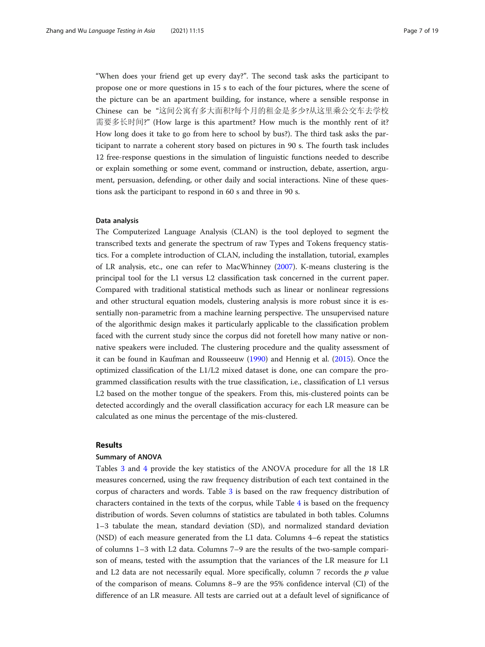"When does your friend get up every day?". The second task asks the participant to propose one or more questions in 15 s to each of the four pictures, where the scene of the picture can be an apartment building, for instance, where a sensible response in Chinese can be "这间公寓有多大面积?每个月的租金是多少?从这里乘公交车去学校 需要多长时间?" (How large is this apartment? How much is the monthly rent of it? How long does it take to go from here to school by bus?). The third task asks the participant to narrate a coherent story based on pictures in 90 s. The fourth task includes 12 free-response questions in the simulation of linguistic functions needed to describe or explain something or some event, command or instruction, debate, assertion, argument, persuasion, defending, or other daily and social interactions. Nine of these questions ask the participant to respond in 60 s and three in 90 s.

# Data analysis

The Computerized Language Analysis (CLAN) is the tool deployed to segment the transcribed texts and generate the spectrum of raw Types and Tokens frequency statistics. For a complete introduction of CLAN, including the installation, tutorial, examples of LR analysis, etc., one can refer to MacWhinney [\(2007\)](#page-17-0). K-means clustering is the principal tool for the L1 versus L2 classification task concerned in the current paper. Compared with traditional statistical methods such as linear or nonlinear regressions and other structural equation models, clustering analysis is more robust since it is essentially non-parametric from a machine learning perspective. The unsupervised nature of the algorithmic design makes it particularly applicable to the classification problem faced with the current study since the corpus did not foretell how many native or nonnative speakers were included. The clustering procedure and the quality assessment of it can be found in Kaufman and Rousseeuw [\(1990](#page-17-0)) and Hennig et al. [\(2015\)](#page-17-0). Once the optimized classification of the L1/L2 mixed dataset is done, one can compare the programmed classification results with the true classification, i.e., classification of L1 versus L2 based on the mother tongue of the speakers. From this, mis-clustered points can be detected accordingly and the overall classification accuracy for each LR measure can be calculated as one minus the percentage of the mis-clustered.

# Results

#### Summary of ANOVA

Tables [3](#page-7-0) and [4](#page-7-0) provide the key statistics of the ANOVA procedure for all the 18 LR measures concerned, using the raw frequency distribution of each text contained in the corpus of characters and words. Table [3](#page-7-0) is based on the raw frequency distribution of characters contained in the texts of the corpus, while Table  $4$  is based on the frequency distribution of words. Seven columns of statistics are tabulated in both tables. Columns 1–3 tabulate the mean, standard deviation (SD), and normalized standard deviation (NSD) of each measure generated from the L1 data. Columns 4–6 repeat the statistics of columns 1–3 with L2 data. Columns 7–9 are the results of the two-sample comparison of means, tested with the assumption that the variances of the LR measure for L1 and L2 data are not necessarily equal. More specifically, column 7 records the  $p$  value of the comparison of means. Columns 8–9 are the 95% confidence interval (CI) of the difference of an LR measure. All tests are carried out at a default level of significance of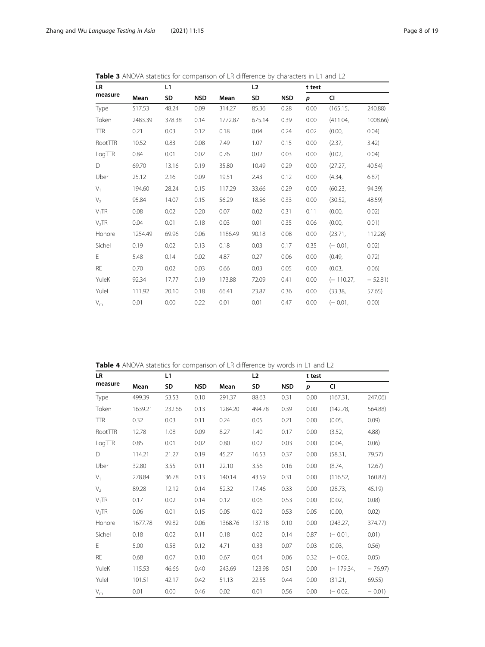| LR         | L1      |        |            |         | L <sub>2</sub> |            | t test |          |          |
|------------|---------|--------|------------|---------|----------------|------------|--------|----------|----------|
| measure    | Mean    | SD     | <b>NSD</b> | Mean    | SD             | <b>NSD</b> | p      | CI       |          |
| Type       | 517.53  | 48.24  | 0.09       | 314.27  | 85.36          | 0.28       | 0.00   | (165.15, | 240.88)  |
| Token      | 2483.39 | 378.38 | 0.14       | 1772.87 | 675.14         | 0.39       | 0.00   | (411.04, | 1008.66) |
| <b>TTR</b> | 0.21    | 0.03   | 0.12       | 0.18    | 0.04           | 0.24       | 0.02   | (0.00,   | 0.04)    |
| RootTTR    | 10.52   | 0.83   | 0.08       | 7.49    | 1.07           | 0.15       | 0.00   | (2.37,   | 3.42)    |
| LogTTR     | 0.84    | 0.01   | 0.02       | 0.76    | 0.02           | 0.03       | 0.00   | (0.02,   | 0.04)    |
| D          | 69.70   | 13.16  | 0.19       | 35.80   | 10.49          | 0.29       | 0.00   | (27.27,  | 40.54)   |
| Uber       | 25.12   | 2.16   | 0.09       | 19.51   | 2.43           | 0.12       | 0.00   | (4.34,   | 6.87)    |
| $V_1$      | 194.60  | 28.24  | 0.15       | 117.29  | 33.66          | 0.29       | 0.00   | (60.23,  | 94.39)   |
| $V_{2}$    | 95.84   | 14.07  | 0.15       | 56.29   | 18.56          | 0.33       | 0.00   | (30.52)  | 48.59)   |

V1TR 0.08 0.02 0.20 0.07 0.02 0.31 0.11 (0.00, 0.02) V<sub>2</sub>TR 0.04 0.01 0.18 0.03 0.01 0.35 0.06 (0.00, 0.01) Honore 1254.49 69.96 0.06 1186.49 90.18 0.08 0.00 (23.71, 112.28) Sichel 0.19 0.02 0.13 0.18 0.03 0.17 0.35 (− 0.01, 0.02) E 5.48 0.14 0.02 4.87 0.27 0.06 0.00 (0.49, 0.72) RE 0.70 0.02 0.03 0.66 0.03 0.05 0.00 (0.03, 0.06) YuleK 92.34 17.77 0.19 173.88 72.09 0.41 0.00 (− 110.27, − 52.81) YuleI 111.92 20.10 0.18 66.41 23.87 0.36 0.00 (33.38, 57.65) V<sub>m</sub> 0.01 0.00 0.22 0.01 0.01 0.47 0.00 (− 0.01, 0.00)

<span id="page-7-0"></span>Table 3 ANOVA statistics for comparison of LR difference by characters in L1 and L2

|  | <b>Table 4</b> ANOVA statistics for comparison of LR difference by words in L1 and L2 |  |
|--|---------------------------------------------------------------------------------------|--|
|--|---------------------------------------------------------------------------------------|--|

| <b>LR</b>         |         | L1     |            |         | L2     |            | t test |             |           |
|-------------------|---------|--------|------------|---------|--------|------------|--------|-------------|-----------|
| measure           | Mean    | SD     | <b>NSD</b> | Mean    | SD     | <b>NSD</b> | p      | CI          |           |
| Type              | 499.39  | 53.53  | 0.10       | 291.37  | 88.63  | 0.31       | 0.00   | (167.31,    | 247.06)   |
| Token             | 1639.21 | 232.66 | 0.13       | 1284.20 | 494.78 | 0.39       | 0.00   | (142.78,    | 564.88)   |
| <b>TTR</b>        | 0.32    | 0.03   | 0.11       | 0.24    | 0.05   | 0.21       | 0.00   | (0.05,      | 0.09)     |
| RootTTR           | 12.78   | 1.08   | 0.09       | 8.27    | 1.40   | 0.17       | 0.00   | (3.52,      | 4.88      |
| LogTTR            | 0.85    | 0.01   | 0.02       | 0.80    | 0.02   | 0.03       | 0.00   | (0.04,      | 0.06)     |
| D                 | 114.21  | 21.27  | 0.19       | 45.27   | 16.53  | 0.37       | 0.00   | (58.31,     | 79.57)    |
| Uber              | 32.80   | 3.55   | 0.11       | 22.10   | 3.56   | 0.16       | 0.00   | (8.74,      | $12.67$ ) |
| $V_1$             | 278.84  | 36.78  | 0.13       | 140.14  | 43.59  | 0.31       | 0.00   | (116.52,    | 160.87)   |
| $V_2$             | 89.28   | 12.12  | 0.14       | 52.32   | 17.46  | 0.33       | 0.00   | (28.73,     | 45.19     |
| $V_1TR$           | 0.17    | 0.02   | 0.14       | 0.12    | 0.06   | 0.53       | 0.00   | (0.02,      | 0.08)     |
| V <sub>2</sub> TR | 0.06    | 0.01   | 0.15       | 0.05    | 0.02   | 0.53       | 0.05   | (0.00,      | 0.02)     |
| Honore            | 1677.78 | 99.82  | 0.06       | 1368.76 | 137.18 | 0.10       | 0.00   | (243.27,    | 374.77)   |
| Sichel            | 0.18    | 0.02   | 0.11       | 0.18    | 0.02   | 0.14       | 0.87   | $(-0.01,$   | 0.01)     |
| E.                | 5.00    | 0.58   | 0.12       | 4.71    | 0.33   | 0.07       | 0.03   | (0.03,      | 0.56)     |
| <b>RE</b>         | 0.68    | 0.07   | 0.10       | 0.67    | 0.04   | 0.06       | 0.32   | $(-0.02,$   | 0.05)     |
| YuleK             | 115.53  | 46.66  | 0.40       | 243.69  | 123.98 | 0.51       | 0.00   | $(-179.34,$ | $-76.97$  |
| Yulel             | 101.51  | 42.17  | 0.42       | 51.13   | 22.55  | 0.44       | 0.00   | (31.21,     | 69.55     |
| $V_{\rm m}$       | 0.01    | 0.00   | 0.46       | 0.02    | 0.01   | 0.56       | 0.00   | $(-0.02)$ . | $-0.01$   |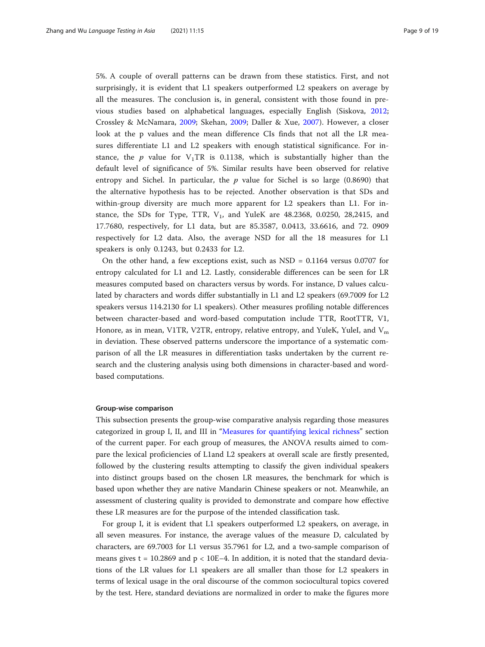5%. A couple of overall patterns can be drawn from these statistics. First, and not surprisingly, it is evident that L1 speakers outperformed L2 speakers on average by all the measures. The conclusion is, in general, consistent with those found in previous studies based on alphabetical languages, especially English (Siskova, [2012](#page-17-0); Crossley & McNamara, [2009;](#page-16-0) Skehan, [2009;](#page-17-0) Daller & Xue, [2007](#page-16-0)). However, a closer look at the p values and the mean difference CIs finds that not all the LR measures differentiate L1 and L2 speakers with enough statistical significance. For instance, the p value for  $V_1TR$  is 0.1138, which is substantially higher than the default level of significance of 5%. Similar results have been observed for relative entropy and Sichel. In particular, the  $p$  value for Sichel is so large (0.8690) that the alternative hypothesis has to be rejected. Another observation is that SDs and within-group diversity are much more apparent for L2 speakers than L1. For instance, the SDs for Type, TTR,  $V_1$ , and YuleK are 48.2368, 0.0250, 28,2415, and 17.7680, respectively, for L1 data, but are 85.3587, 0.0413, 33.6616, and 72. 0909 respectively for L2 data. Also, the average NSD for all the 18 measures for L1 speakers is only 0.1243, but 0.2433 for L2.

On the other hand, a few exceptions exist, such as  $\text{NSD} = 0.1164$  versus 0.0707 for entropy calculated for L1 and L2. Lastly, considerable differences can be seen for LR measures computed based on characters versus by words. For instance, D values calculated by characters and words differ substantially in L1 and L2 speakers (69.7009 for L2 speakers versus 114.2130 for L1 speakers). Other measures profiling notable differences between character-based and word-based computation include TTR, RootTTR, V1, Honore, as in mean, V1TR, V2TR, entropy, relative entropy, and YuleK, YuleI, and  $V_m$ in deviation. These observed patterns underscore the importance of a systematic comparison of all the LR measures in differentiation tasks undertaken by the current research and the clustering analysis using both dimensions in character-based and wordbased computations.

### Group-wise comparison

This subsection presents the group-wise comparative analysis regarding those measures categorized in group I, II, and III in "[Measures for quantifying lexical richness](#page-2-0)" section of the current paper. For each group of measures, the ANOVA results aimed to compare the lexical proficiencies of L1and L2 speakers at overall scale are firstly presented, followed by the clustering results attempting to classify the given individual speakers into distinct groups based on the chosen LR measures, the benchmark for which is based upon whether they are native Mandarin Chinese speakers or not. Meanwhile, an assessment of clustering quality is provided to demonstrate and compare how effective these LR measures are for the purpose of the intended classification task.

For group I, it is evident that L1 speakers outperformed L2 speakers, on average, in all seven measures. For instance, the average values of the measure D, calculated by characters, are 69.7003 for L1 versus 35.7961 for L2, and a two-sample comparison of means gives t = 10.2869 and  $p < 10E-4$ . In addition, it is noted that the standard deviations of the LR values for L1 speakers are all smaller than those for L2 speakers in terms of lexical usage in the oral discourse of the common sociocultural topics covered by the test. Here, standard deviations are normalized in order to make the figures more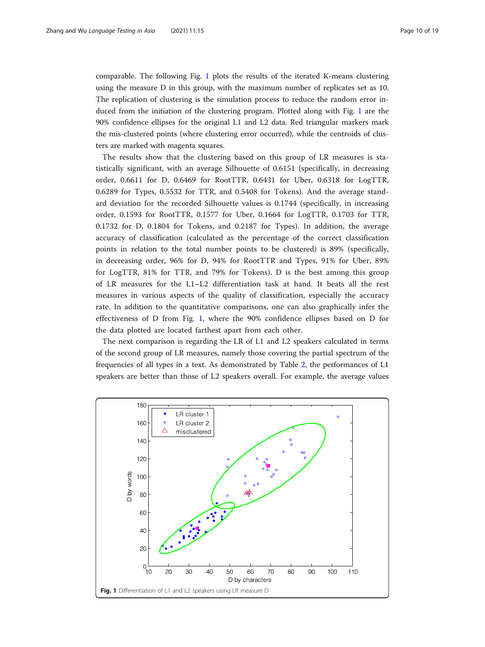comparable. The following Fig. 1 plots the results of the iterated K-means clustering using the measure D in this group, with the maximum number of replicates set as 10. The replication of clustering is the simulation process to reduce the random error induced from the initiation of the clustering program. Plotted along with Fig. 1 are the 90% confidence ellipses for the original L1 and L2 data. Red triangular markers mark the mis-clustered points (where clustering error occurred), while the centroids of clusters are marked with magenta squares.

The results show that the clustering based on this group of LR measures is statistically significant, with an average Silhouette of 0.6151 (specifically, in decreasing order, 0.6611 for D, 0.6469 for RootTTR, 0.6431 for Uber, 0.6318 for LogTTR, 0.6289 for Types, 0.5532 for TTR, and 0.5408 for Tokens). And the average standard deviation for the recorded Silhouette values is 0.1744 (specifically, in increasing order, 0.1593 for RootTTR, 0.1577 for Uber, 0.1664 for LogTTR, 0.1703 for TTR, 0.1732 for D, 0.1804 for Tokens, and 0.2187 for Types). In addition, the average accuracy of classification (calculated as the percentage of the correct classification points in relation to the total number points to be clustered) is 89% (specifically, in decreasing order, 96% for D, 94% for RootTTR and Types, 91% for Uber, 89% for LogTTR, 81% for TTR, and 79% for Tokens). D is the best among this group of LR measures for the L1–L2 differentiation task at hand. It beats all the rest measures in various aspects of the quality of classification, especially the accuracy rate. In addition to the quantitative comparisons, one can also graphically infer the effectiveness of D from Fig. 1, where the 90% confidence ellipses based on D for the data plotted are located farthest apart from each other.

The next comparison is regarding the LR of L1 and L2 speakers calculated in terms of the second group of LR measures, namely those covering the partial spectrum of the frequencies of all types in a text. As demonstrated by Table [2,](#page-5-0) the performances of L1 speakers are better than those of L2 speakers overall. For example, the average values

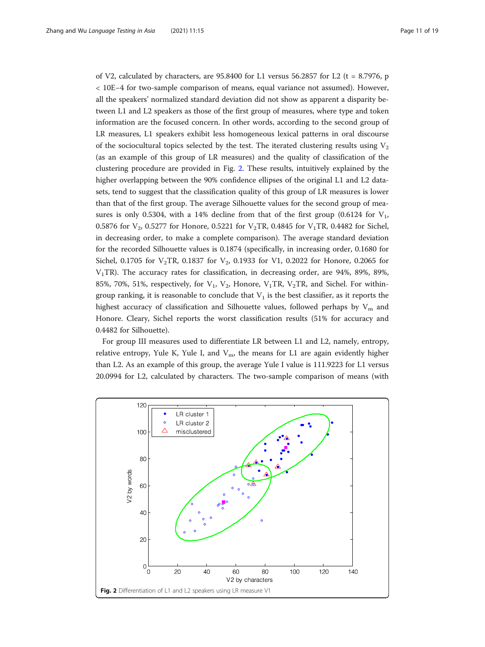of V2, calculated by characters, are  $95.8400$  for L1 versus 56.2857 for L2 (t = 8.7976, p < 10E−4 for two-sample comparison of means, equal variance not assumed). However, all the speakers' normalized standard deviation did not show as apparent a disparity between L1 and L2 speakers as those of the first group of measures, where type and token information are the focused concern. In other words, according to the second group of LR measures, L1 speakers exhibit less homogeneous lexical patterns in oral discourse of the sociocultural topics selected by the test. The iterated clustering results using  $V_2$ (as an example of this group of LR measures) and the quality of classification of the clustering procedure are provided in Fig. 2. These results, intuitively explained by the higher overlapping between the 90% confidence ellipses of the original L1 and L2 datasets, tend to suggest that the classification quality of this group of LR measures is lower than that of the first group. The average Silhouette values for the second group of measures is only 0.5304, with a 14% decline from that of the first group  $(0.6124 \text{ for } V_1)$ , 0.5876 for  $V_2$ , 0.5277 for Honore, 0.5221 for  $V_2$ TR, 0.4845 for  $V_1$ TR, 0.4482 for Sichel, in decreasing order, to make a complete comparison). The average standard deviation for the recorded Silhouette values is 0.1874 (specifically, in increasing order, 0.1680 for Sichel, 0.1705 for  $V_2TR$ , 0.1837 for  $V_2$ , 0.1933 for V1, 0.2022 for Honore, 0.2065 for  $V_1$ TR). The accuracy rates for classification, in decreasing order, are 94%, 89%, 89%, 85%, 70%, 51%, respectively, for  $V_1$ ,  $V_2$ , Honore,  $V_1TR$ ,  $V_2TR$ , and Sichel. For withingroup ranking, it is reasonable to conclude that  $V_1$  is the best classifier, as it reports the highest accuracy of classification and Silhouette values, followed perhaps by  $V_m$  and Honore. Cleary, Sichel reports the worst classification results (51% for accuracy and 0.4482 for Silhouette).

For group III measures used to differentiate LR between L1 and L2, namely, entropy, relative entropy, Yule K, Yule I, and  $V<sub>m</sub>$ , the means for L1 are again evidently higher than L2. As an example of this group, the average Yule I value is 111.9223 for L1 versus 20.0994 for L2, calculated by characters. The two-sample comparison of means (with

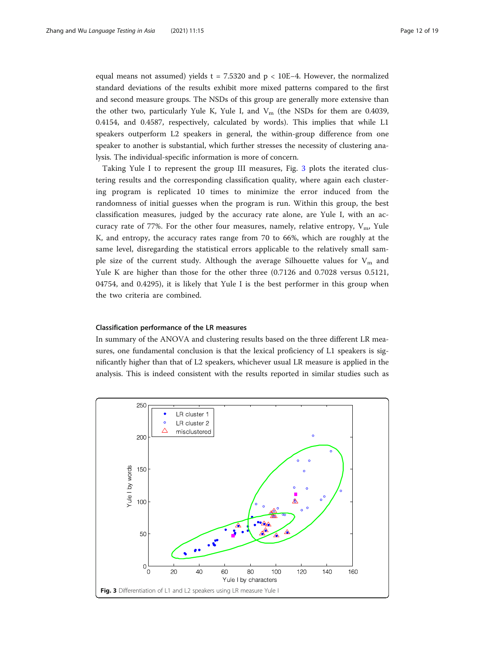equal means not assumed) yields t = 7.5320 and p < 10E−4. However, the normalized standard deviations of the results exhibit more mixed patterns compared to the first and second measure groups. The NSDs of this group are generally more extensive than the other two, particularly Yule K, Yule I, and  $V_m$  (the NSDs for them are 0.4039, 0.4154, and 0.4587, respectively, calculated by words). This implies that while L1 speakers outperform L2 speakers in general, the within-group difference from one speaker to another is substantial, which further stresses the necessity of clustering analysis. The individual-specific information is more of concern.

Taking Yule I to represent the group III measures, Fig. 3 plots the iterated clustering results and the corresponding classification quality, where again each clustering program is replicated 10 times to minimize the error induced from the randomness of initial guesses when the program is run. Within this group, the best classification measures, judged by the accuracy rate alone, are Yule I, with an accuracy rate of 77%. For the other four measures, namely, relative entropy,  $V_{\text{m}}$ , Yule K, and entropy, the accuracy rates range from 70 to 66%, which are roughly at the same level, disregarding the statistical errors applicable to the relatively small sample size of the current study. Although the average Silhouette values for  $V_m$  and Yule K are higher than those for the other three (0.7126 and 0.7028 versus 0.5121, 04754, and 0.4295), it is likely that Yule I is the best performer in this group when the two criteria are combined.

## Classification performance of the LR measures

In summary of the ANOVA and clustering results based on the three different LR measures, one fundamental conclusion is that the lexical proficiency of L1 speakers is significantly higher than that of L2 speakers, whichever usual LR measure is applied in the analysis. This is indeed consistent with the results reported in similar studies such as

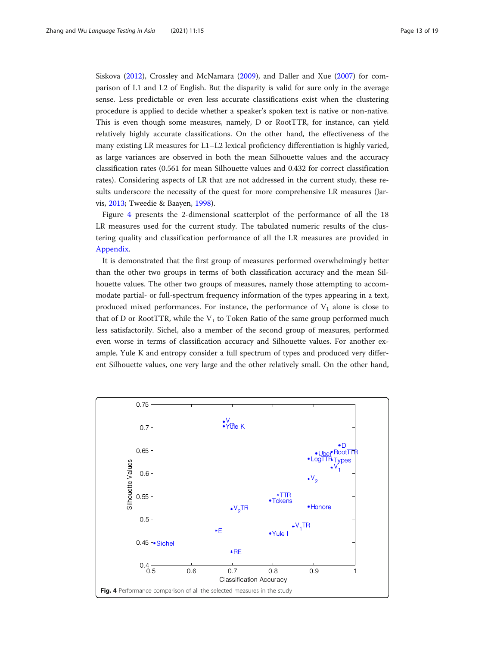Siskova [\(2012\)](#page-17-0), Crossley and McNamara ([2009](#page-16-0)), and Daller and Xue ([2007\)](#page-16-0) for comparison of L1 and L2 of English. But the disparity is valid for sure only in the average sense. Less predictable or even less accurate classifications exist when the clustering procedure is applied to decide whether a speaker's spoken text is native or non-native. This is even though some measures, namely, D or RootTTR, for instance, can yield relatively highly accurate classifications. On the other hand, the effectiveness of the many existing LR measures for L1–L2 lexical proficiency differentiation is highly varied, as large variances are observed in both the mean Silhouette values and the accuracy classification rates (0.561 for mean Silhouette values and 0.432 for correct classification rates). Considering aspects of LR that are not addressed in the current study, these results underscore the necessity of the quest for more comprehensive LR measures (Jarvis, [2013](#page-17-0); Tweedie & Baayen, [1998](#page-17-0)).

Figure 4 presents the 2-dimensional scatterplot of the performance of all the 18 LR measures used for the current study. The tabulated numeric results of the clustering quality and classification performance of all the LR measures are provided in [Appendix](#page-15-0).

It is demonstrated that the first group of measures performed overwhelmingly better than the other two groups in terms of both classification accuracy and the mean Silhouette values. The other two groups of measures, namely those attempting to accommodate partial- or full-spectrum frequency information of the types appearing in a text, produced mixed performances. For instance, the performance of  $V_1$  alone is close to that of D or RootTTR, while the  $V_1$  to Token Ratio of the same group performed much less satisfactorily. Sichel, also a member of the second group of measures, performed even worse in terms of classification accuracy and Silhouette values. For another example, Yule K and entropy consider a full spectrum of types and produced very different Silhouette values, one very large and the other relatively small. On the other hand,

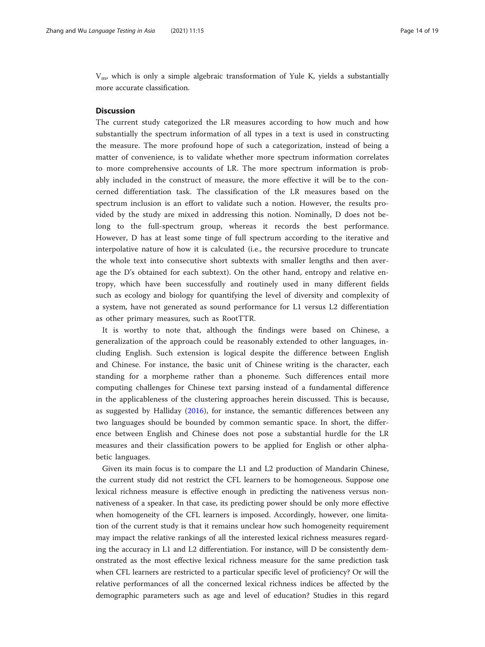$V_{\text{m}}$ , which is only a simple algebraic transformation of Yule K, yields a substantially more accurate classification.

# **Discussion**

The current study categorized the LR measures according to how much and how substantially the spectrum information of all types in a text is used in constructing the measure. The more profound hope of such a categorization, instead of being a matter of convenience, is to validate whether more spectrum information correlates to more comprehensive accounts of LR. The more spectrum information is probably included in the construct of measure, the more effective it will be to the concerned differentiation task. The classification of the LR measures based on the spectrum inclusion is an effort to validate such a notion. However, the results provided by the study are mixed in addressing this notion. Nominally, D does not belong to the full-spectrum group, whereas it records the best performance. However, D has at least some tinge of full spectrum according to the iterative and interpolative nature of how it is calculated (i.e., the recursive procedure to truncate the whole text into consecutive short subtexts with smaller lengths and then average the D's obtained for each subtext). On the other hand, entropy and relative entropy, which have been successfully and routinely used in many different fields such as ecology and biology for quantifying the level of diversity and complexity of a system, have not generated as sound performance for L1 versus L2 differentiation as other primary measures, such as RootTTR.

It is worthy to note that, although the findings were based on Chinese, a generalization of the approach could be reasonably extended to other languages, including English. Such extension is logical despite the difference between English and Chinese. For instance, the basic unit of Chinese writing is the character, each standing for a morpheme rather than a phoneme. Such differences entail more computing challenges for Chinese text parsing instead of a fundamental difference in the applicableness of the clustering approaches herein discussed. This is because, as suggested by Halliday [\(2016](#page-17-0)), for instance, the semantic differences between any two languages should be bounded by common semantic space. In short, the difference between English and Chinese does not pose a substantial hurdle for the LR measures and their classification powers to be applied for English or other alphabetic languages.

Given its main focus is to compare the L1 and L2 production of Mandarin Chinese, the current study did not restrict the CFL learners to be homogeneous. Suppose one lexical richness measure is effective enough in predicting the nativeness versus nonnativeness of a speaker. In that case, its predicting power should be only more effective when homogeneity of the CFL learners is imposed. Accordingly, however, one limitation of the current study is that it remains unclear how such homogeneity requirement may impact the relative rankings of all the interested lexical richness measures regarding the accuracy in L1 and L2 differentiation. For instance, will D be consistently demonstrated as the most effective lexical richness measure for the same prediction task when CFL learners are restricted to a particular specific level of proficiency? Or will the relative performances of all the concerned lexical richness indices be affected by the demographic parameters such as age and level of education? Studies in this regard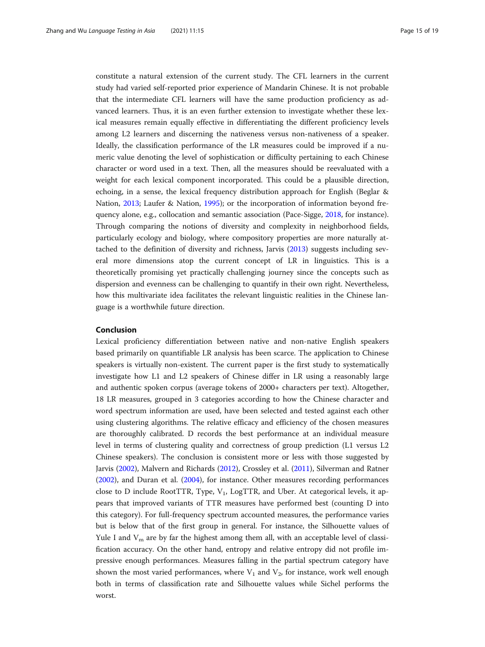constitute a natural extension of the current study. The CFL learners in the current study had varied self-reported prior experience of Mandarin Chinese. It is not probable that the intermediate CFL learners will have the same production proficiency as advanced learners. Thus, it is an even further extension to investigate whether these lexical measures remain equally effective in differentiating the different proficiency levels among L2 learners and discerning the nativeness versus non-nativeness of a speaker. Ideally, the classification performance of the LR measures could be improved if a numeric value denoting the level of sophistication or difficulty pertaining to each Chinese character or word used in a text. Then, all the measures should be reevaluated with a weight for each lexical component incorporated. This could be a plausible direction, echoing, in a sense, the lexical frequency distribution approach for English (Beglar & Nation, [2013;](#page-16-0) Laufer & Nation, [1995](#page-17-0)); or the incorporation of information beyond frequency alone, e.g., collocation and semantic association (Pace-Sigge, [2018](#page-17-0), for instance). Through comparing the notions of diversity and complexity in neighborhood fields, particularly ecology and biology, where compository properties are more naturally attached to the definition of diversity and richness, Jarvis ([2013](#page-17-0)) suggests including several more dimensions atop the current concept of LR in linguistics. This is a theoretically promising yet practically challenging journey since the concepts such as dispersion and evenness can be challenging to quantify in their own right. Nevertheless, how this multivariate idea facilitates the relevant linguistic realities in the Chinese language is a worthwhile future direction.

# Conclusion

Lexical proficiency differentiation between native and non-native English speakers based primarily on quantifiable LR analysis has been scarce. The application to Chinese speakers is virtually non-existent. The current paper is the first study to systematically investigate how L1 and L2 speakers of Chinese differ in LR using a reasonably large and authentic spoken corpus (average tokens of 2000+ characters per text). Altogether, 18 LR measures, grouped in 3 categories according to how the Chinese character and word spectrum information are used, have been selected and tested against each other using clustering algorithms. The relative efficacy and efficiency of the chosen measures are thoroughly calibrated. D records the best performance at an individual measure level in terms of clustering quality and correctness of group prediction (L1 versus L2 Chinese speakers). The conclusion is consistent more or less with those suggested by Jarvis ([2002](#page-17-0)), Malvern and Richards [\(2012\)](#page-17-0), Crossley et al. ([2011\)](#page-16-0), Silverman and Ratner ([2002](#page-17-0)), and Duran et al. ([2004](#page-16-0)), for instance. Other measures recording performances close to D include RootTTR, Type,  $V_1$ , LogTTR, and Uber. At categorical levels, it appears that improved variants of TTR measures have performed best (counting D into this category). For full-frequency spectrum accounted measures, the performance varies but is below that of the first group in general. For instance, the Silhouette values of Yule I and  $V_m$  are by far the highest among them all, with an acceptable level of classification accuracy. On the other hand, entropy and relative entropy did not profile impressive enough performances. Measures falling in the partial spectrum category have shown the most varied performances, where  $V_1$  and  $V_2$ , for instance, work well enough both in terms of classification rate and Silhouette values while Sichel performs the worst.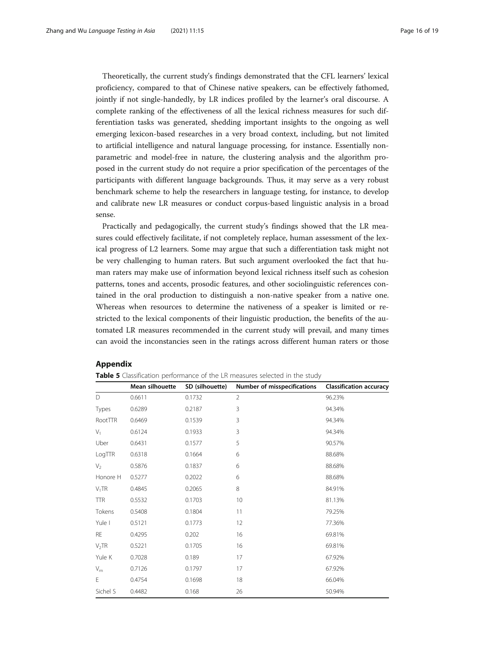<span id="page-15-0"></span>Theoretically, the current study's findings demonstrated that the CFL learners' lexical proficiency, compared to that of Chinese native speakers, can be effectively fathomed, jointly if not single-handedly, by LR indices profiled by the learner's oral discourse. A complete ranking of the effectiveness of all the lexical richness measures for such differentiation tasks was generated, shedding important insights to the ongoing as well emerging lexicon-based researches in a very broad context, including, but not limited to artificial intelligence and natural language processing, for instance. Essentially nonparametric and model-free in nature, the clustering analysis and the algorithm proposed in the current study do not require a prior specification of the percentages of the participants with different language backgrounds. Thus, it may serve as a very robust benchmark scheme to help the researchers in language testing, for instance, to develop and calibrate new LR measures or conduct corpus-based linguistic analysis in a broad sense.

Practically and pedagogically, the current study's findings showed that the LR measures could effectively facilitate, if not completely replace, human assessment of the lexical progress of L2 learners. Some may argue that such a differentiation task might not be very challenging to human raters. But such argument overlooked the fact that human raters may make use of information beyond lexical richness itself such as cohesion patterns, tones and accents, prosodic features, and other sociolinguistic references contained in the oral production to distinguish a non-native speaker from a native one. Whereas when resources to determine the nativeness of a speaker is limited or restricted to the lexical components of their linguistic production, the benefits of the automated LR measures recommended in the current study will prevail, and many times can avoid the inconstancies seen in the ratings across different human raters or those

# Appendix

|                   | Mean silhouette | SD (silhouette) | Number of misspecifications | <b>Classification accuracy</b> |
|-------------------|-----------------|-----------------|-----------------------------|--------------------------------|
| D                 | 0.6611          | 0.1732          | $\overline{2}$              | 96.23%                         |
| Types             | 0.6289          | 0.2187          | 3                           | 94.34%                         |
| RootTTR           | 0.6469          | 0.1539          | 3                           | 94.34%                         |
| $V_1$             | 0.6124          | 0.1933          | 3                           | 94.34%                         |
| Uber              | 0.6431          | 0.1577          | 5                           | 90.57%                         |
| LogTTR            | 0.6318          | 0.1664          | 6                           | 88.68%                         |
| $V_2$             | 0.5876          | 0.1837          | 6                           | 88.68%                         |
| Honore H          | 0.5277          | 0.2022          | 6                           | 88.68%                         |
| $V_1TR$           | 0.4845          | 0.2065          | $\,8\,$                     | 84.91%                         |
| <b>TTR</b>        | 0.5532          | 0.1703          | 10                          | 81.13%                         |
| Tokens            | 0.5408          | 0.1804          | 11                          | 79.25%                         |
| Yule I            | 0.5121          | 0.1773          | 12                          | 77.36%                         |
| RE                | 0.4295          | 0.202           | 16                          | 69.81%                         |
| V <sub>2</sub> TR | 0.5221          | 0.1705          | 16                          | 69.81%                         |
| Yule K            | 0.7028          | 0.189           | 17                          | 67.92%                         |
| $V_{\rm m}$       | 0.7126          | 0.1797          | 17                          | 67.92%                         |
| E                 | 0.4754          | 0.1698          | 18                          | 66.04%                         |
| Sichel S          | 0.4482          | 0.168           | 26                          | 50.94%                         |

**Table 5** Classification performance of the LR measures selected in the study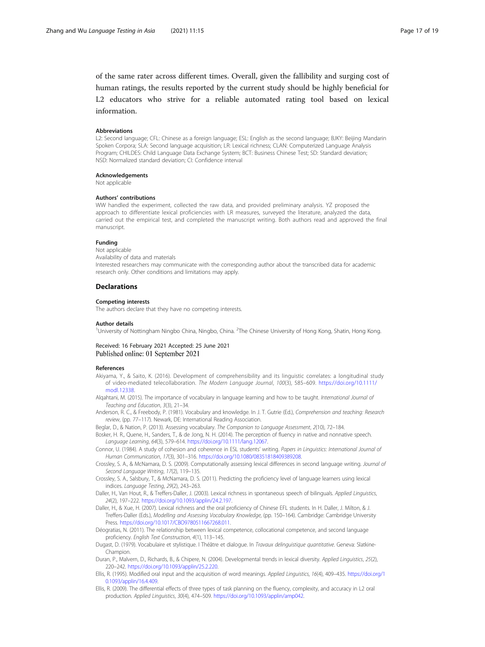<span id="page-16-0"></span>of the same rater across different times. Overall, given the fallibility and surging cost of human ratings, the results reported by the current study should be highly beneficial for L2 educators who strive for a reliable automated rating tool based on lexical information.

#### Abbreviations

L2: Second language; CFL: Chinese as a foreign language; ESL: English as the second language; BJKY: Beijing Mandarin Spoken Corpora; SLA: Second language acquisition; LR: Lexical richness; CLAN: Computerized Language Analysis Program; CHILDES: Child Language Data Exchange System; BCT: Business Chinese Test; SD: Standard deviation; NSD: Normalized standard deviation; CI: Confidence interval

#### Acknowledgements

Not applicable

#### Authors' contributions

WW handled the experiment, collected the raw data, and provided preliminary analysis. YZ proposed the approach to differentiate lexical proficiencies with LR measures, surveyed the literature, analyzed the data, carried out the empirical test, and completed the manuscript writing. Both authors read and approved the final manuscript.

#### Funding

Not applicable Availability of data and materials

Interested researchers may communicate with the corresponding author about the transcribed data for academic research only. Other conditions and limitations may apply.

#### **Declarations**

#### Competing interests

The authors declare that they have no competing interests.

#### Author details

<sup>1</sup>University of Nottingham Ningbo China, Ningbo, China. <sup>2</sup>The Chinese University of Hong Kong, Shatin, Hong Kong

#### Received: 16 February 2021 Accepted: 25 June 2021 Published online: 01 September 2021

#### References

- Akiyama, Y., & Saito, K. (2016). Development of comprehensibility and its linguistic correlates: a longitudinal study of video-mediated telecollaboration. The Modern Language Journal, 100(3), 585–609. [https://doi.org/10.1111/](https://doi.org/10.1111/modl.12338) [modl.12338.](https://doi.org/10.1111/modl.12338)
- Alqahtani, M. (2015). The importance of vocabulary in language learning and how to be taught. International Journal of Teaching and Education, 3(3), 21–34.
- Anderson, R. C., & Freebody, P. (1981). Vocabulary and knowledge. In J. T. Gutrie (Ed.), Comprehension and teaching: Research review, (pp. 77–117). Newark, DE: International Reading Association.
- Beglar, D., & Nation, P. (2013). Assessing vocabulary. The Companion to Language Assessment, 2(10), 72-184.
- Bosker, H. R., Quene, H., Sanders, T., & de Jong, N. H. (2014). The perception of fluency in native and nonnative speech. Language Learning, 64(3), 579–614. <https://doi.org/10.1111/lang.12067>.
- Connor, U. (1984). A study of cohesion and coherence in ESL students' writing. Papers in Linguistics: International Journal of Human Communication, 17(3), 301–316. [https://doi.org/10.1080/08351818409389208.](https://doi.org/10.1080/08351818409389208)
- Crossley, S. A., & McNamara, D. S. (2009). Computationally assessing lexical differences in second language writing. Journal of Second Language Writing, 17(2), 119–135.
- Crossley, S. A., Salsbury, T., & McNamara, D. S. (2011). Predicting the proficiency level of language learners using lexical indices. Language Testing, 29(2), 243–263.
- Daller, H., Van Hout, R., & Treffers-Daller, J. (2003). Lexical richness in spontaneous speech of bilinguals. Applied Linguistics, 24(2), 197–222. <https://doi.org/10.1093/applin/24.2.197>.
- Daller, H., & Xue, H. (2007). Lexical richness and the oral proficiency of Chinese EFL students. In H. Daller, J. Milton, & J. Treffers-Daller (Eds.), Modelling and Assessing Vocabulary Knowledge, (pp. 150–164). Cambridge: Cambridge University Press. [https://doi.org/10.1017/CBO9780511667268.011.](https://doi.org/10.1017/CBO9780511667268.011)
- Déogratias, N. (2011). The relationship between lexical competence, collocational competence, and second language proficiency. English Text Construction, 4(1), 113–145.
- Dugast, D. (1979). Vocabulaire et stylistique. I Théâtre et dialogue. In Travaux delinguistique quantitative. Geneva: Slatkine-Champion.
- Duran, P., Malvern, D., Richards, B., & Chipere, N. (2004). Developmental trends in lexical diversity. Applied Linguistics, 25(2), 220–242. <https://doi.org/10.1093/applin/25.2.220>.
- Ellis, R. (1995). Modified oral input and the acquisition of word meanings. Applied Linguistics, 16(4), 409–435. [https://doi.org/1](https://doi.org/10.1093/applin/16.4.409) [0.1093/applin/16.4.409](https://doi.org/10.1093/applin/16.4.409).
- Ellis, R. (2009). The differential effects of three types of task planning on the fluency, complexity, and accuracy in L2 oral production. Applied Linguistics, 30(4), 474–509. [https://doi.org/10.1093/applin/amp042.](https://doi.org/10.1093/applin/amp042)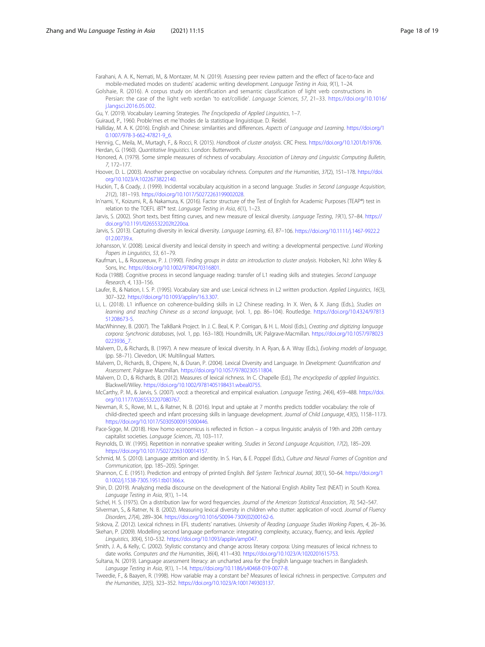<span id="page-17-0"></span>Farahani, A. A. K., Nemati, M., & Montazer, M. N. (2019). Assessing peer review pattern and the effect of face-to-face and mobile-mediated modes on students' academic writing development. Language Testing in Asia, 9(1), 1–24.

Golshaie, R. (2016). A corpus study on identification and semantic classification of light verb constructions in Persian: the case of the light verb xordan 'to eat/collide'. Language Sciences, 57, 21–33. [https://doi.org/10.1016/](https://doi.org/10.1016/j.langsci.2016.05.002)

[j.langsci.2016.05.002](https://doi.org/10.1016/j.langsci.2016.05.002).

Gu, Y. (2019). Vocabulary Learning Strategies. The Encyclopedia of Applied Linguistics, 1–7.

Guiraud, P., 1960. Proble'mes et me´thodes de la statistique linguistique. D. Reidel.

Halliday, M. A. K. (2016). English and Chinese: similarities and differences. Aspects of Language and Learning. [https://doi.org/1](https://doi.org/10.1007/978-3-662-47821-9_6) [0.1007/978-3-662-47821-9\\_6.](https://doi.org/10.1007/978-3-662-47821-9_6)

Hennig, C., Meila, M., Murtagh, F., & Rocci, R. (2015). Handbook of cluster analysis. CRC Press. [https://doi.org/10.1201/b19706.](https://doi.org/10.1201/b19706) Herdan, G. (1960). Quantitative linguistics. London: Butterworth.

Honored, A. (1979). Some simple measures of richness of vocabulary. Association of Literary and Linguistic Computing Bulletin, 7, 172–177.

Hoover, D. L. (2003). Another perspective on vocabulary richness. Computers and the Humanities, 37(2), 151-178. [https://doi.](https://doi.org/10.1023/A:1022673822140) [org/10.1023/A:1022673822140.](https://doi.org/10.1023/A:1022673822140)

Huckin, T., & Coady, J. (1999). Incidental vocabulary acquisition in a second language. Studies in Second Language Acquisition, 21(2), 181–193. <https://doi.org/10.1017/S0272263199002028>.

In'nami, Y., Koizumi, R., & Nakamura, K. (2016). Factor structure of the Test of English for Academic Purposes (TEAP®) test in relation to the TOEFL iBT® test. Language Testing in Asia, 6(1), 1–23.

Jarvis, S. (2002). Short texts, best fitting curves, and new measure of lexical diversity. Language Testing, 19(1), 57–84. [https://](https://doi.org/10.1191/0265532202lt220oa) [doi.org/10.1191/0265532202lt220oa](https://doi.org/10.1191/0265532202lt220oa).

Jarvis, S. (2013). Capturing diversity in lexical diversity. Language Learning, 63, 87-106. [https://doi.org/10.1111/j.1467-9922.2](https://doi.org/10.1111/j.1467-9922.2012.00739.x) [012.00739.x](https://doi.org/10.1111/j.1467-9922.2012.00739.x).

Johansson, V. (2008). Lexical diversity and lexical density in speech and writing: a developmental perspective. Lund Working Papers in Linguistics, 53, 61–79.

Kaufman, L., & Rousseeuw, P. J. (1990). Finding groups in data: an introduction to cluster analysis. Hoboken, NJ: John Wiley & Sons, Inc. [https://doi.org/10.1002/9780470316801.](https://doi.org/10.1002/9780470316801)

Koda (1988). Cognitive process in second language reading: transfer of L1 reading skills and strategies. Second Language Research, 4, 133–156.

Laufer, B., & Nation, I. S. P. (1995). Vocabulary size and use: Lexical richness in L2 written production. Applied Linguistics, 16(3), 307–322. <https://doi.org/10.1093/applin/16.3.307>.

Li, L. (2018). L1 influence on coherence-building skills in L2 Chinese reading. In X. Wen, & X. Jiang (Eds.), Studies on learning and teaching Chinese as a second language, (vol. 1, pp. 86–104). Routledge. [https://doi.org/10.4324/97813](https://doi.org/10.4324/9781351208673-5) [51208673-5](https://doi.org/10.4324/9781351208673-5).

MacWhinney, B. (2007). The TalkBank Project. In J. C. Beal, K. P. Corrigan, & H. L. Moisl (Eds.), Creating and digitizing language corpora: Synchronic databases, (vol. 1, pp. 163–180). Houndmills, UK: Palgrave-Macmillan. [https://doi.org/10.1057/978023](https://doi.org/10.1057/9780230223936_7) [0223936\\_7](https://doi.org/10.1057/9780230223936_7)

Malvern, D., & Richards, B. (1997). A new measure of lexical diversity. In A. Ryan, & A. Wray (Eds.), Evolving models of language, (pp. 58–71). Clevedon, UK: Multilingual Matters.

Malvern, D., Richards, B., Chipere, N., & Duran, P. (2004). Lexical Diversity and Language. In Development: Quantification and Assessment. Palgrave Macmillan. [https://doi.org/10.1057/9780230511804.](https://doi.org/10.1057/9780230511804)

Malvern, D. D., & Richards, B. (2012). Measures of lexical richness. In C. Chapelle (Ed.), The encyclopedia of applied linguistics. Blackwell/Wiley. [https://doi.org/10.1002/9781405198431.wbeal0755.](https://doi.org/10.1002/9781405198431.wbeal0755)

McCarthy, P. M., & Jarvis, S. (2007). vocd: a theoretical and empirical evaluation. Language Testing, 24(4), 459–488. [https://doi.](https://doi.org/10.1177/0265532207080767) [org/10.1177/0265532207080767.](https://doi.org/10.1177/0265532207080767)

Newman, R. S., Rowe, M. L., & Ratner, N. B. (2016). Input and uptake at 7 months predicts toddler vocabulary: the role of child-directed speech and infant processing skills in language development. Journal of Child Language, 43(5), 1158–1173. [https://doi.org/10.1017/S0305000915000446.](https://doi.org/10.1017/S0305000915000446)

Pace-Sigge, M. (2018). How homo economicus is reflected in fiction – a corpus linguistic analysis of 19th and 20th century capitalist societies. Language Sciences, 70, 103-117.

Reynolds, D. W. (1995). Repetition in nonnative speaker writing. Studies in Second Language Acquisition, 17(2), 185–209. [https://doi.org/10.1017/S0272263100014157.](https://doi.org/10.1017/S0272263100014157)

Schmid, M. S. (2010). Language attrition and identity. In S. Han, & E. Poppel (Eds.), Culture and Neural Frames of Cognition and Communication, (pp. 185–205). Springer.

Shannon, C. E. (1951). Prediction and entropy of printed English. Bell System Technical Journal, 30(1), 50–64. [https://doi.org/1](https://doi.org/10.1002/j.1538-7305.1951.tb01366.x) [0.1002/j.1538-7305.1951.tb01366.x.](https://doi.org/10.1002/j.1538-7305.1951.tb01366.x)

Shin, D. (2019). Analyzing media discourse on the development of the National English Ability Test (NEAT) in South Korea. Language Testing in Asia, 9(1), 1–14.

Sichel, H. S. (1975). On a distribution law for word frequencies. Journal of the American Statistical Association, 70, 542–547. Silverman, S., & Ratner, N. B. (2002). Measuring lexical diversity in children who stutter: application of vocd. Journal of Fluency Disorders, 27(4), 289–304. [https://doi.org/10.1016/S0094-730X\(02\)00162-6.](https://doi.org/10.1016/S0094-730X(02)00162-6)

Siskova, Z. (2012). Lexical richness in EFL students' narratives. University of Reading Language Studies Working Papers, 4, 26–36. Skehan, P. (2009). Modelling second language performance: integrating complexity, accuracy, fluency, and lexis. Applied Linguistics, 30(4), 510–532. <https://doi.org/10.1093/applin/amp047>.

Smith, J. A., & Kelly, C. (2002). Stylistic constancy and change across literary corpora: Using measures of lexical richness to date works. Computers and the Humanities, 36(4), 411–430. <https://doi.org/10.1023/A:1020201615753>.

Sultana, N. (2019). Language assessment literacy: an uncharted area for the English language teachers in Bangladesh. Language Testing in Asia, 9(1), 1–14. <https://doi.org/10.1186/s40468-019-0077-8>.

Tweedie, F., & Baayen, R. (1998). How variable may a constant be? Measures of lexical richness in perspective. Computers and the Humanities, 32(5), 323–352. [https://doi.org/10.1023/A:1001749303137.](https://doi.org/10.1023/A:1001749303137)